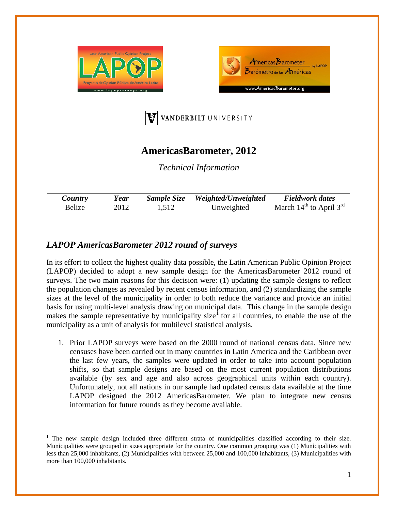





# **AmericasBarometer, 2012**

*Technical Information*

| $\mathcal{L}$ ountry | ear! | Sample Size | Weighted/Unweighted | <b>Fieldwork dates</b>                             |
|----------------------|------|-------------|---------------------|----------------------------------------------------|
| 'elize               |      | 512         | Jnweighted          | $\cdot$ 1 $\sim$ 10<br>лUП.<br>March<br>tΩ<br>nrıl |

## *LAPOP AmericasBarometer 2012 round of surveys*

In its effort to collect the highest quality data possible, the Latin American Public Opinion Project (LAPOP) decided to adopt a new sample design for the AmericasBarometer 2012 round of surveys. The two main reasons for this decision were: (1) updating the sample designs to reflect the population changes as revealed by recent census information, and (2) standardizing the sample sizes at the level of the municipality in order to both reduce the variance and provide an initial basis for using multi-level analysis drawing on municipal data. This change in the sample design makes the sample representative by municipality size<sup>[1](#page-0-0)</sup> for all countries, to enable the use of the municipality as a unit of analysis for multilevel statistical analysis.

1. Prior LAPOP surveys were based on the 2000 round of national census data. Since new censuses have been carried out in many countries in Latin America and the Caribbean over the last few years, the samples were updated in order to take into account population shifts, so that sample designs are based on the most current population distributions available (by sex and age and also across geographical units within each country). Unfortunately, not all nations in our sample had updated census data available at the time LAPOP designed the 2012 AmericasBarometer. We plan to integrate new census information for future rounds as they become available.

<span id="page-0-1"></span><span id="page-0-0"></span> <sup>1</sup> The new sample design included three different strata of municipalities classified according to their size. Municipalities were grouped in sizes appropriate for the country. One common grouping was (1) Municipalities with less than 25,000 inhabitants, (2) Municipalities with between 25,000 and 100,000 inhabitants, (3) Municipalities with more than 100,000 inhabitants.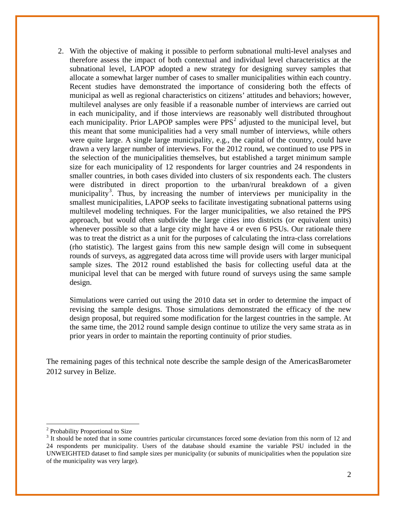2. With the objective of making it possible to perform subnational multi-level analyses and therefore assess the impact of both contextual and individual level characteristics at the subnational level, LAPOP adopted a new strategy for designing survey samples that allocate a somewhat larger number of cases to smaller municipalities within each country. Recent studies have demonstrated the importance of considering both the effects of municipal as well as regional characteristics on citizens' attitudes and behaviors; however, multilevel analyses are only feasible if a reasonable number of interviews are carried out in each municipality, and if those interviews are reasonably well distributed throughout each municipality. Prior LAPOP samples were  $PPS<sup>2</sup>$  $PPS<sup>2</sup>$  $PPS<sup>2</sup>$  adjusted to the municipal level, but this meant that some municipalities had a very small number of interviews, while others were quite large. A single large municipality, e.g., the capital of the country, could have drawn a very larger number of interviews. For the 2012 round, we continued to use PPS in the selection of the municipalities themselves, but established a target minimum sample size for each municipality of 12 respondents for larger countries and 24 respondents in smaller countries, in both cases divided into clusters of six respondents each. The clusters were distributed in direct proportion to the urban/rural breakdown of a given municipality<sup>[3](#page-1-0)</sup>. Thus, by increasing the number of interviews per municipality in the smallest municipalities, LAPOP seeks to facilitate investigating subnational patterns using multilevel modeling techniques. For the larger municipalities, we also retained the PPS approach, but would often subdivide the large cities into districts (or equivalent units) whenever possible so that a large city might have 4 or even 6 PSUs. Our rationale there was to treat the district as a unit for the purposes of calculating the intra-class correlations (rho statistic). The largest gains from this new sample design will come in subsequent rounds of surveys, as aggregated data across time will provide users with larger municipal sample sizes. The 2012 round established the basis for collecting useful data at the municipal level that can be merged with future round of surveys using the same sample design.

Simulations were carried out using the 2010 data set in order to determine the impact of revising the sample designs. Those simulations demonstrated the efficacy of the new design proposal, but required some modification for the largest countries in the sample. At the same time, the 2012 round sample design continue to utilize the very same strata as in prior years in order to maintain the reporting continuity of prior studies.

The remaining pages of this technical note describe the sample design of the AmericasBarometer 2012 survey in Belize.

<sup>&</sup>lt;sup>2</sup> Probability Proportional to Size

<span id="page-1-0"></span><sup>&</sup>lt;sup>3</sup> It should be noted that in some countries particular circumstances forced some deviation from this norm of 12 and 24 respondents per municipality. Users of the database should examine the variable PSU included in the UNWEIGHTED dataset to find sample sizes per municipality (or subunits of municipalities when the population size of the municipality was very large).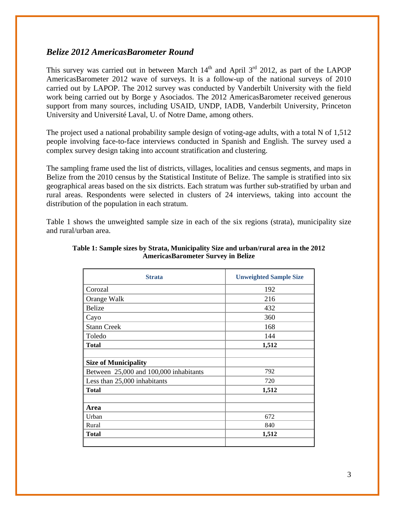## *Belize 2012 AmericasBarometer Round*

This survey was carried out in between March  $14<sup>th</sup>$  and April  $3<sup>rd</sup>$  2012, as part of the LAPOP AmericasBarometer 2012 wave of surveys. It is a follow-up of the national surveys of 2010 carried out by LAPOP. The 2012 survey was conducted by Vanderbilt University with the field work being carried out by Borge y Asociados. The 2012 AmericasBarometer received generous support from many sources, including USAID, UNDP, IADB, Vanderbilt University, Princeton University and Université Laval, U. of Notre Dame, among others.

The project used a national probability sample design of voting-age adults, with a total N of 1,512 people involving face-to-face interviews conducted in Spanish and English. The survey used a complex survey design taking into account stratification and clustering.

The sampling frame used the list of districts, villages, localities and census segments, and maps in Belize from the 2010 census by the Statistical Institute of Belize. The sample is stratified into six geographical areas based on the six districts. Each stratum was further sub-stratified by urban and rural areas. Respondents were selected in clusters of 24 interviews, taking into account the distribution of the population in each stratum.

Table 1 shows the unweighted sample size in each of the six regions (strata), municipality size and rural/urban area.

| <b>Strata</b>                          | <b>Unweighted Sample Size</b> |
|----------------------------------------|-------------------------------|
| Corozal                                | 192                           |
| Orange Walk                            | 216                           |
| <b>Belize</b>                          | 432                           |
| Cayo                                   | 360                           |
| <b>Stann Creek</b>                     | 168                           |
| Toledo                                 | 144                           |
| <b>Total</b>                           | 1,512                         |
|                                        |                               |
| <b>Size of Municipality</b>            |                               |
| Between 25,000 and 100,000 inhabitants | 792                           |
| Less than 25,000 inhabitants           | 720                           |
| <b>Total</b>                           | 1,512                         |
|                                        |                               |
| Area                                   |                               |
| Urban                                  | 672                           |
| Rural                                  | 840                           |
| <b>Total</b>                           | 1,512                         |
|                                        |                               |

#### **Table 1: Sample sizes by Strata, Municipality Size and urban/rural area in the 2012 AmericasBarometer Survey in Belize**